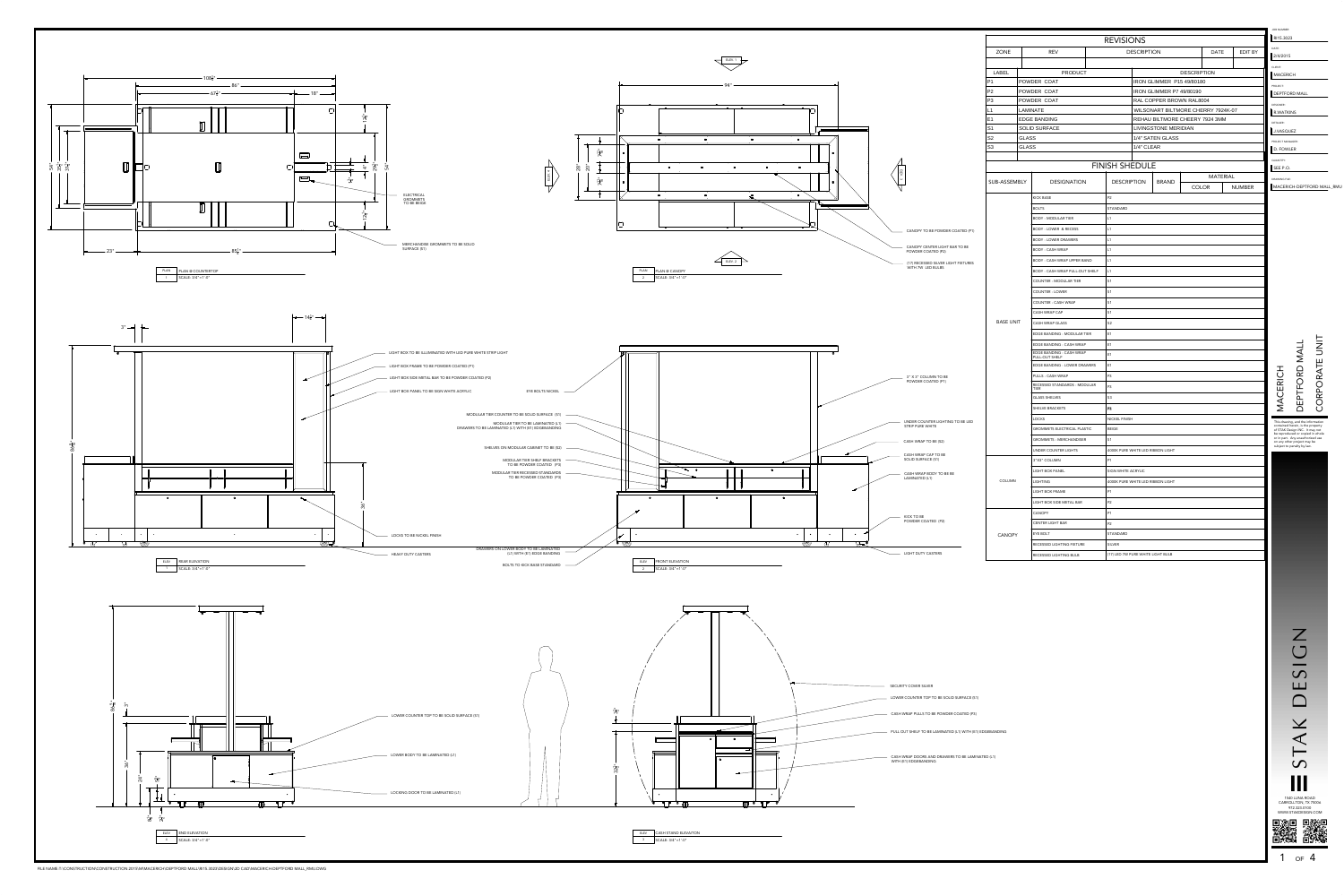

CASH WRAP DOORS AND DRAWERS TO BE LAMINATED (L1)



FILE NAME:T:\CONSTRUCTION\CONSTRUCTION 2015\M\MACERICH\DEPTFORD MALL\RI15.3023\DESIGN\2D CAD\MACERICH-DEPTFORD MALL\_RMU.DWG

PULL OUT SHELF TO BE LAMINATED (L1) WITH (E1) EDGEBANDING



**1540 LUNA ROAD**<br>CARROLLTON, TX 75006<br>
CARROLLTON, TX 75006<br>
WWW.STAKDESIGN.COM<br> **11 360 LUNA ROAD**<br>
WWW.STAKDESIGN.COM<br> **11 360 LUNA ROAD** 

 $\mathsf{Z}$ 

 $\bigcup$ 

 $\overline{\phantom{a}}$  $\bigcirc$ 

 $\Box$ 

 $\Box$ 

 $\boldsymbol{\times}$ 

 $\prec$ 

 $\vdash$ 

 $\mathbf S$ 

1540 LUNA ROAD CARROLLTON, TX 75006 972.323.0100 WWW.STAKDESIGN.COM

|                                                          |                                  |                                      |                                                                               | <b>REVISIONS</b>                                   |                           |                    |                 |               | RI15.3023                                                                                                                                    |                  |  |  |
|----------------------------------------------------------|----------------------------------|--------------------------------------|-------------------------------------------------------------------------------|----------------------------------------------------|---------------------------|--------------------|-----------------|---------------|----------------------------------------------------------------------------------------------------------------------------------------------|------------------|--|--|
|                                                          | ZONE                             |                                      | <b>REV</b>                                                                    | <b>DESCRIPTION</b>                                 |                           |                    | <b>DATE</b>     | EDIT BY       | DATE:<br>2/4/2015                                                                                                                            |                  |  |  |
|                                                          |                                  |                                      |                                                                               |                                                    |                           |                    |                 |               | CLIENT:                                                                                                                                      |                  |  |  |
|                                                          | <b>LABEL</b>                     |                                      | PRODUCT                                                                       |                                                    |                           | <b>DESCRIPTION</b> |                 |               | MACERICH                                                                                                                                     |                  |  |  |
|                                                          | P <sub>1</sub>                   |                                      | POWDER COAT                                                                   |                                                    | IRON GLIMMER P15 49/80180 |                    |                 |               | PROJECT:                                                                                                                                     |                  |  |  |
|                                                          | P <sub>2</sub>                   | POWDER COAT                          |                                                                               |                                                    | IRON GLIMMER P7 49/80190  |                    |                 |               |                                                                                                                                              | DEPTFORD MALL    |  |  |
|                                                          | P <sub>3</sub>                   |                                      | POWDER COAT                                                                   |                                                    | RAL COPPER BROWN RAL8004  |                    |                 |               |                                                                                                                                              | <b>DESIGNER:</b> |  |  |
|                                                          | L1                               | LAMINATE                             |                                                                               | WILSONART BILTMORE CHERRY 7924K-07                 |                           |                    |                 |               | R.WATKINS                                                                                                                                    |                  |  |  |
|                                                          | E <sub>1</sub><br>S <sub>1</sub> |                                      | REHAU BILTMORE CHEERY 7924 3MM<br><b>EDGE BANDING</b><br>LIVINGSTONE MERIDIAN |                                                    |                           |                    |                 |               | <b>DETAILER:</b>                                                                                                                             |                  |  |  |
|                                                          | S <sub>2</sub>                   | <b>SOLID SURFACE</b><br><b>GLASS</b> |                                                                               | 1/4" SATEN GLASS<br>1/4" CLEAR                     |                           |                    |                 |               | J.VASQUEZ<br>PROJECT MANAGER:<br>D. FOWLER                                                                                                   |                  |  |  |
|                                                          | S <sub>3</sub><br><b>GLASS</b>   |                                      |                                                                               |                                                    |                           |                    |                 |               |                                                                                                                                              |                  |  |  |
|                                                          |                                  |                                      |                                                                               |                                                    |                           |                    |                 |               | QUANTITY:                                                                                                                                    |                  |  |  |
|                                                          |                                  |                                      |                                                                               | <b>FINISH SHEDULE</b>                              |                           |                    |                 |               | SEE P.O.                                                                                                                                     |                  |  |  |
|                                                          |                                  |                                      |                                                                               |                                                    |                           |                    | <b>MATERIAL</b> |               | <b>DRAWING FILE:</b>                                                                                                                         |                  |  |  |
|                                                          | SUB-ASSEMBLY                     |                                      | <b>DESIGNATION</b>                                                            | <b>DESCRIPTION</b>                                 | <b>BRAND</b>              | <b>COLOR</b>       |                 | <b>NUMBER</b> | MACERICH-DEPTFORD MALL_RMU                                                                                                                   |                  |  |  |
|                                                          |                                  |                                      | <b>KICK BASE</b>                                                              | <b>P2</b>                                          |                           |                    |                 |               |                                                                                                                                              |                  |  |  |
|                                                          |                                  |                                      | <b>BOLTS</b>                                                                  | STANDARD                                           |                           |                    |                 |               |                                                                                                                                              |                  |  |  |
|                                                          |                                  |                                      | <b>BODY - MODULAR TIER</b>                                                    | L1                                                 |                           |                    |                 |               |                                                                                                                                              |                  |  |  |
| CANOPY TO BE POWDER COATED (P1)                          |                                  |                                      | <b>BODY - LOWER &amp; RECESS</b>                                              | L1                                                 |                           |                    |                 |               |                                                                                                                                              |                  |  |  |
|                                                          |                                  |                                      | <b>BODY - LOWER DRAWERS</b>                                                   | L1                                                 |                           |                    |                 |               |                                                                                                                                              |                  |  |  |
| CANOPY CENTER LIGHT BAR TO BE<br>POWDER COATED (P2)      |                                  |                                      | <b>BODY - CASH WRAP</b>                                                       | L1                                                 |                           |                    |                 |               |                                                                                                                                              |                  |  |  |
|                                                          |                                  |                                      | BODY - CASH WRAP UPPER BAND                                                   | L1                                                 |                           |                    |                 |               |                                                                                                                                              |                  |  |  |
| (17) RECESSED SILVER LIGHT FIXTURES<br>WITH 7W LED BULBS |                                  |                                      | BODY - CASH WRAP PULL-OUT SHELF                                               |                                                    |                           |                    |                 |               |                                                                                                                                              |                  |  |  |
|                                                          | <b>BASE UNIT</b>                 |                                      | <b>COUNTER - MODULAR TIER</b>                                                 |                                                    | L1                        |                    |                 |               |                                                                                                                                              |                  |  |  |
|                                                          |                                  |                                      | <b>COUNTER - LOWER</b>                                                        |                                                    | S <sub>1</sub>            |                    |                 |               |                                                                                                                                              |                  |  |  |
|                                                          |                                  |                                      |                                                                               | S <sub>1</sub><br>S <sub>1</sub><br>S <sub>1</sub> |                           |                    |                 |               |                                                                                                                                              |                  |  |  |
|                                                          |                                  |                                      | COUNTER - CASH WRAP<br>CASH WRAP CAP                                          |                                                    |                           |                    |                 |               |                                                                                                                                              |                  |  |  |
|                                                          |                                  |                                      |                                                                               |                                                    | S <sub>2</sub>            |                    |                 |               |                                                                                                                                              |                  |  |  |
|                                                          |                                  |                                      | CASH WRAP GLASS<br>EDGE BANDING - MODULAR TIER                                | E <sub>1</sub><br>E <sub>1</sub>                   |                           |                    |                 | <b>TINU</b>   |                                                                                                                                              |                  |  |  |
|                                                          |                                  |                                      |                                                                               |                                                    |                           |                    |                 |               |                                                                                                                                              |                  |  |  |
|                                                          |                                  |                                      | EDGE BANDING - CASH WRAP<br>EDGE BANDING - CASH WRAP                          |                                                    |                           |                    |                 |               |                                                                                                                                              |                  |  |  |
|                                                          |                                  |                                      | PULL-OUT SHELF                                                                | E <sub>1</sub>                                     |                           |                    |                 |               |                                                                                                                                              |                  |  |  |
|                                                          |                                  |                                      | EDGE BANDING - LOWER DRAWERS                                                  |                                                    | E <sub>1</sub>            |                    |                 |               | DEPTFORD MALL                                                                                                                                |                  |  |  |
| 3" X 3" COLUMN TO BE<br>POWDER COATED (P1)               |                                  |                                      | PULLS - CASH WRAP<br>RECESSED STANDARDS - MODULAR                             | P <sub>3</sub>                                     |                           |                    |                 | CORPORATE     |                                                                                                                                              |                  |  |  |
|                                                          |                                  |                                      | TIER                                                                          | P <sub>3</sub>                                     |                           |                    |                 |               |                                                                                                                                              |                  |  |  |
|                                                          |                                  |                                      | <b>GLASS SHELVES</b>                                                          | S3<br>РĴ                                           |                           |                    |                 |               | MACERICH                                                                                                                                     |                  |  |  |
|                                                          |                                  |                                      | SHELVE BRACKETS                                                               |                                                    |                           |                    |                 |               |                                                                                                                                              |                  |  |  |
| UNDER COUNTER LIGHTING TO BE LED<br>STRIP PURE WHITE     |                                  |                                      | <b>LOCKS</b>                                                                  | NICKEL FINISH                                      |                           |                    |                 |               | This drawing, and the information<br>contained herein, is the property<br>of STAK Design INC. It may not<br>be reproduced or copied in whole |                  |  |  |
|                                                          |                                  |                                      | <b>GROMMETS ELECTRICAL PLASTIC</b>                                            | BEIGE                                              |                           |                    |                 |               |                                                                                                                                              |                  |  |  |
| CASH WRAP TO BE (S2)                                     |                                  |                                      | <b>GROMMETS - MERCHANDISER</b>                                                | S <sub>1</sub>                                     |                           |                    |                 |               | or in part. Any unauthorized use<br>on any other project may be<br>subject to penalty by law.                                                |                  |  |  |
| CASH WRAP CAP TO BE                                      |                                  |                                      | UNDER COUNTER LIGHTS                                                          | 4000K PURE WHITE LED RIBBON LIGHT                  |                           |                    |                 |               |                                                                                                                                              |                  |  |  |
| SOLID SURFACE (S1)                                       |                                  |                                      | 3"X3" COLUMN                                                                  | <b>P1</b>                                          |                           |                    |                 |               |                                                                                                                                              |                  |  |  |
| CASH WRAP BODY TO BE BE<br>LAMINATED (L1)                |                                  |                                      | LIGHT BOX PANEL                                                               | SIGN WHITE ACRYLIC                                 |                           |                    |                 |               |                                                                                                                                              |                  |  |  |
|                                                          | <b>COLUMN</b>                    |                                      | <b>LIGHTING</b>                                                               | 4000K PURE WHITE LED RIBBON LIGHT                  |                           |                    |                 |               |                                                                                                                                              |                  |  |  |
|                                                          |                                  |                                      | LIGHT BOX FRAME                                                               | <b>P1</b>                                          |                           |                    |                 |               |                                                                                                                                              |                  |  |  |
|                                                          |                                  |                                      | LIGHT BOX SIDE METAL BAR                                                      | P2                                                 |                           |                    |                 |               |                                                                                                                                              |                  |  |  |
| KICK TO BE                                               |                                  |                                      | CANOPY                                                                        | <b>P1</b>                                          |                           |                    |                 |               |                                                                                                                                              |                  |  |  |
| POWDER COATED (P2)                                       | <b>CANOPY</b>                    |                                      | <b>CENTER LIGHT BAR</b>                                                       | <b>P2</b>                                          |                           |                    |                 |               |                                                                                                                                              |                  |  |  |
|                                                          |                                  |                                      | EYE BOLT                                                                      | STANDARD                                           |                           |                    |                 |               |                                                                                                                                              |                  |  |  |
|                                                          |                                  |                                      | RECESSED LIGHTING FIXTURE                                                     | SILVER                                             |                           |                    |                 |               |                                                                                                                                              |                  |  |  |
| LIGHT DUTY CASTERS                                       |                                  |                                      | RECESSED LIGHTING BULB                                                        | (17) LED 7W PURE WHITE LIGHT BULB                  |                           |                    |                 |               |                                                                                                                                              |                  |  |  |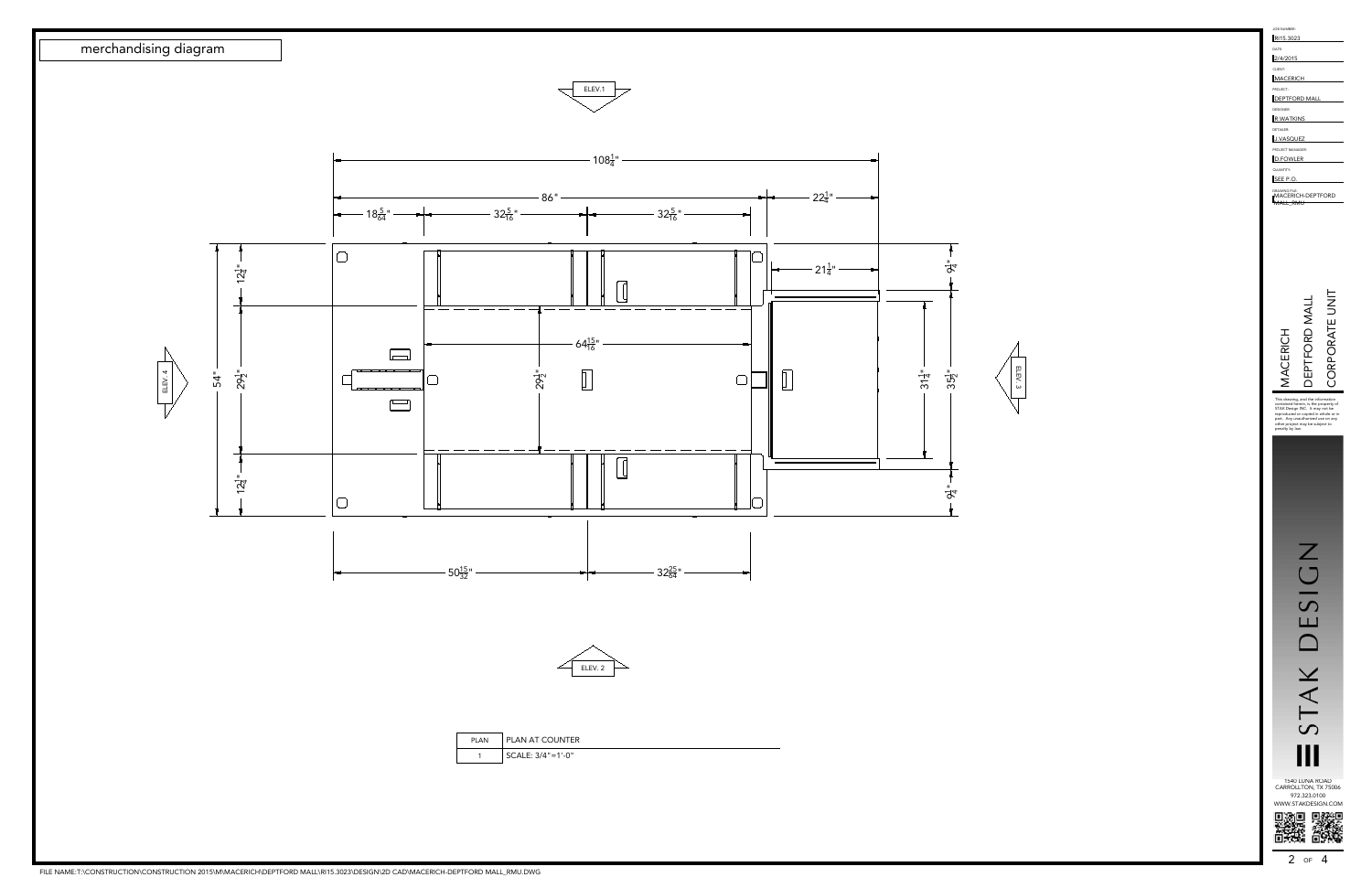ELEV. 3





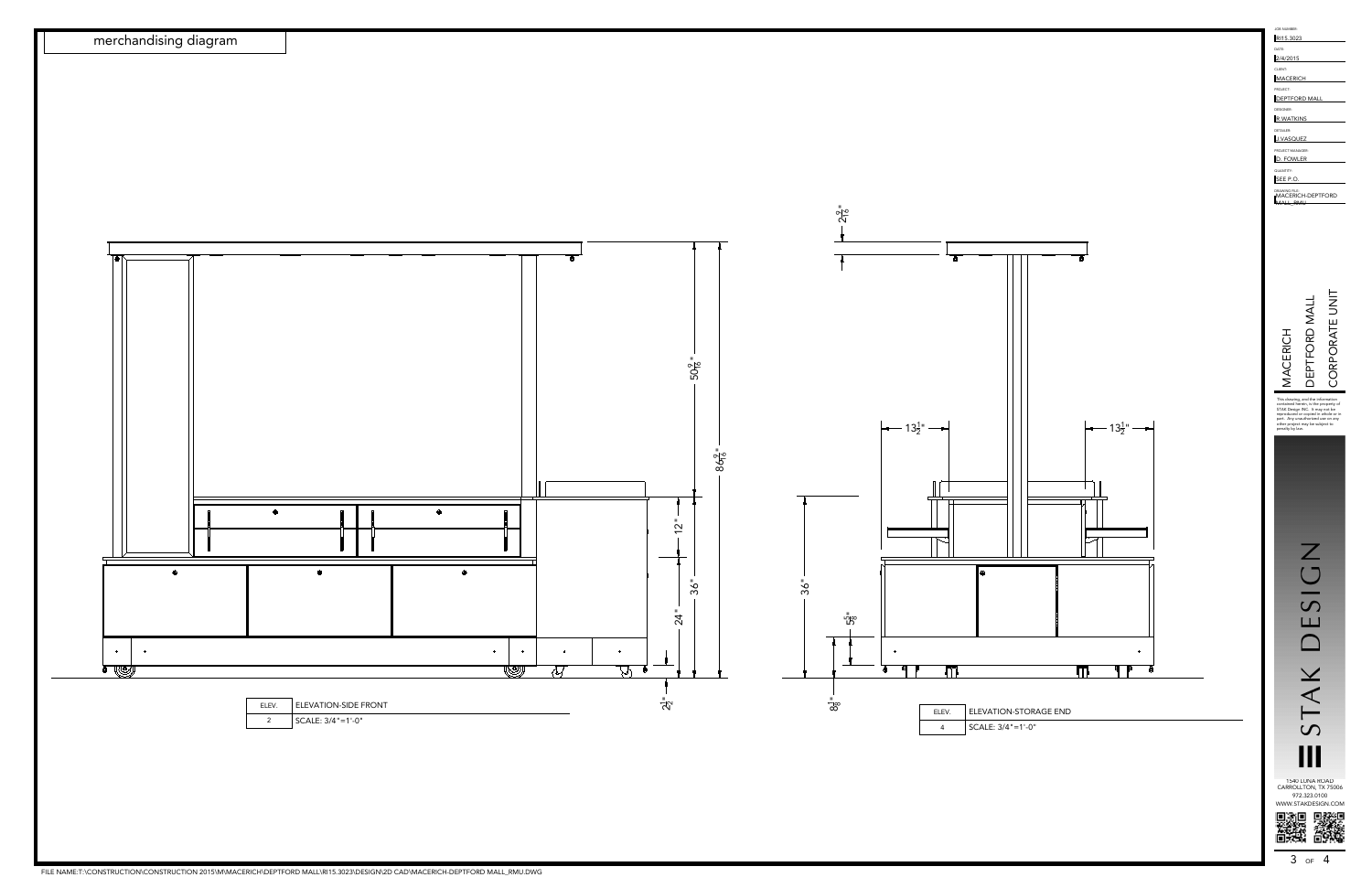